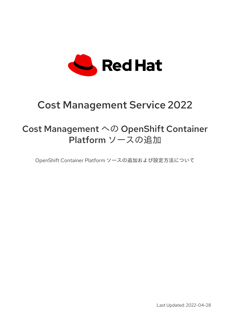

# Cost Management Service 2022

# Cost Management への OpenShift Container Platform ソースの追加

OpenShift Container Platform ソースの追加および設定方法について

Last Updated: 2022-04-28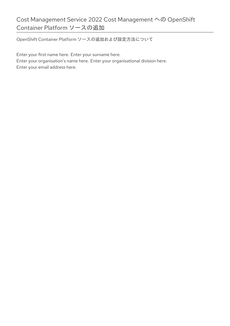## Cost Management Service 2022 Cost Management への OpenShift Container Platform ソースの追加

OpenShift Container Platform ソースの追加および設定方法について

Enter your first name here. Enter your surname here. Enter your organisation's name here. Enter your organisational division here. Enter your email address here.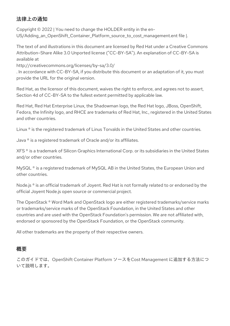## 法律上の通知

Copyright © 2022 | You need to change the HOLDER entity in the en-US/Adding\_an\_OpenShift\_Container\_Platform\_source\_to\_cost\_management.ent file |.

The text of and illustrations in this document are licensed by Red Hat under a Creative Commons Attribution–Share Alike 3.0 Unported license ("CC-BY-SA"). An explanation of CC-BY-SA is available at

http://creativecommons.org/licenses/by-sa/3.0/

. In accordance with CC-BY-SA, if you distribute this document or an adaptation of it, you must provide the URL for the original version.

Red Hat, as the licensor of this document, waives the right to enforce, and agrees not to assert, Section 4d of CC-BY-SA to the fullest extent permitted by applicable law.

Red Hat, Red Hat Enterprise Linux, the Shadowman logo, the Red Hat logo, JBoss, OpenShift, Fedora, the Infinity logo, and RHCE are trademarks of Red Hat, Inc., registered in the United States and other countries.

Linux ® is the registered trademark of Linus Torvalds in the United States and other countries.

Java ® is a registered trademark of Oracle and/or its affiliates.

XFS ® is a trademark of Silicon Graphics International Corp. or its subsidiaries in the United States and/or other countries.

MySQL<sup>®</sup> is a registered trademark of MySQL AB in the United States, the European Union and other countries.

Node.js ® is an official trademark of Joyent. Red Hat is not formally related to or endorsed by the official Joyent Node.js open source or commercial project.

The OpenStack ® Word Mark and OpenStack logo are either registered trademarks/service marks or trademarks/service marks of the OpenStack Foundation, in the United States and other countries and are used with the OpenStack Foundation's permission. We are not affiliated with, endorsed or sponsored by the OpenStack Foundation, or the OpenStack community.

All other trademarks are the property of their respective owners.

## 概要

このガイドでは、OpenShift Container Platform ソースをCost Management に追加する方法につ いて説明します。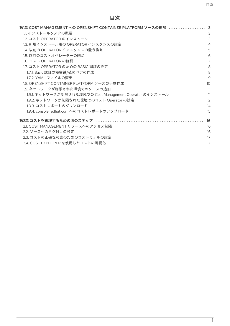## 目次

## 目次

| 1.1. インストールタスクの概要                                        |  |
|----------------------------------------------------------|--|
| 1.2. コスト OPERATOR のインストール                                |  |
| 1.3. 新規インストール用の OPERATOR インスタンスの設定                       |  |
| 1.4. 以前の OPERATOR インスタンスの置き換え                            |  |
| 1.5. 以前のコストオペレーターの削除                                     |  |
| 1.6. コスト OPERATOR の確認                                    |  |
| 1.7. コスト OPERATOR のための BASIC 認証の設定                       |  |
| 1.7.1. Basic 認証の秘密鍵/値のペアの作成                              |  |
| 1.7.2. YAML ファイルの変更                                      |  |
| 1.8. OPENSHIFT CONTAINER PLATFORM ソースの手動作成               |  |
| 1.9. ネットワークが制限された環境でのソースの追加                              |  |
| 1.9.1. ネットワークが制限された環境での Cost Management Operator のインストール |  |
| 1.9.2. ネットワークが制限された環境でのコスト Operator の設定                  |  |
| 1.9.3. コストレポートのダウンロード                                    |  |
| 1.9.4. console.redhat.com へのコストレポートのアップロード               |  |
|                                                          |  |
| 2.1. COST MANAGEMENT リソースへのアクセス制限                        |  |
| 2.2. ソースへのタグ付けの設定                                        |  |
| 2.3. コストの正確な報告のためのコストモデルの設定                              |  |
| 2.4. COST EXPLORER を使用したコストの可視化                          |  |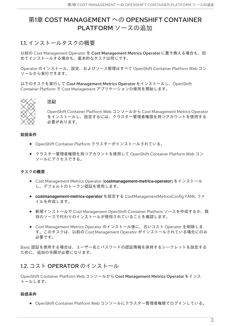## <span id="page-6-0"></span>第1章 COST MANAGEMENT への OPENSHIFT CONTAINER PLATFORM ソースの追加

## <span id="page-6-1"></span>1.1. インストールタスクの概要

以前の Cost Management Operator を Cost Management Metrics Operatorに置き換える場合も、初 めてインストールする場合も、基本的なタスクは同じです。

Operator のインストール、設定、およびソース管理はすべて OpenShift Container Platform Web コン ソールから実行できます。

以下のタスクを実行して Cost Management Metrics Operatorをインストールし、OpenShift Container Platform で Cost Management アプリケーションの使用を開始します。



## 注記

OpenShift Container Platform Web コンソールから Cost Management Metrics Operator をインストールし、設定するには、クラスター管理者権限を持つアカウントを使用する 必要があります。

## 前提条件

- OpenShift Container Platform クラスターがインストールされている。
- クラスター管理者権限を持つアカウントを使用して OpenShift Container Platform Web コン ソールにアクセスできる。

## タスクの概要

- Cost Management Metrics Operator (**costmanagement-metrics-operator**) をインストール し、デフォルトのトークン認証を使用します。
- **costmanagement-metrics-operator** を設定する CostManagementMetricsConfig YAML ファ イルを作成します。
- 新規インストールで Cost Management OpenShift Container Platform ソースを作成するか、既 存のソースで代わりのインストールが使用されていることを確認します。
- Cost Management Metrics Operator のインストール後に、古いコスト Operator を削除しま す。このタスクは、以前の Cost Management Operator がインストールされている場合にのみ 必要です。

Basic 認証を使用する場合は、ユーザー名とパスワードの認証情報を保持するシークレットを設定する ために、追加の手順が必要になります。

## <span id="page-6-2"></span>1.2. コスト OPERATOR のインストール

OpenShift Container Platform Web コンソールから Cost Management Metrics Operatorをインス トールします。

## 前提条件

● OpenShift Container Platform Web コンソールにクラスター管理者権限でログインしている。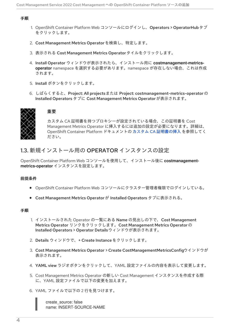## 手順

- 1. OpenShift Container Platform Web コンソールにログインし、Operators > OperatorHubタブ をクリックします。
- 2. Cost Management Metrics Operatorを検索し、特定します。
- 3. 表示される Cost Management Metrics Operatorタイルをクリックします。
- 4. Install Operator ウィンドウが表示されたら、インストール用に **costmanagement-metricsoperator** namespace を選択する必要があります。namespace が存在しない場合、これは作成 されます。
- 5. Install ボタンをクリックします。
- 6. しばらくすると、Project: All projectsまたは Project: costmanagement-metrics-operatorの Installed Operators タブに Cost Management Metrics Operatorが表示されます。



## 重要

カスタム CA 証明書を持つプロキシーが設定されている場合、この証明書を Cost Management Metrics Operator に挿入するには追加の設定が必要になります。詳細は、 OpenShift Container Platform ドキュメントのカスタム CA [証明書の挿入](https://access.redhat.com/documentation/ja-jp/openshift_container_platform/4.10/html/operators/administrator-tasks#olm-inject-custom-ca_olm-configuring-proxy-support) を参照してく ださい。

## <span id="page-7-0"></span>1.3. 新規インストール用の OPERATOR インスタンスの設定

OpenShift Container Platform Web コンソールを使用して、インストール後に **costmanagementmetrics-operator** インスタンスを設定します。

## 前提条件

- OpenShift Container Platform Web コンソールにクラスター管理者権限でログインしている。
- Cost Management Metrics Operator が Installed Operators タブに表示される。

## 手順

- 1. インストールされた Operator の一覧にある Name の見出しの下で、Cost Management Metrics Operator リンクをクリックします。Cost Management Metrics Operatorの Installed Operators > Operator Detailsウィンドウが表示されます。
- 2. Details ウィンドウで、+ Create Instanceをクリックします。
- 3. Cost Management Metrics Operator > Create CostManagementMetricsConfigウインドウが 表示されます。
- 4. YAML view ラジオボタンをクリックして、YAML 設定ファイルの内容を表示して変更します。
- 5. Cost Management Metrics Operator の新しい Cost Management インスタンスを作成する際 に、YAML 設定ファイルで以下の変更を加えます。
- 6. YAML ファイルで以下の 2 行を見つけます。

create\_source: false name: INSERT-SOURCE-NAME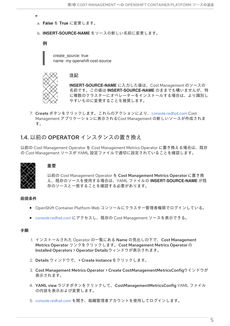- a. **False** を **True** に変更します。
- b. **INSERT-SOURCE-NAME** をソースの新しい名前に変更します。

例

create\_source: true name: my-openshift-cost-source

注記



**INSERT-SOURCE-NAME** に入力した値は、Cost Management のソースの 名前です。この値は **INSERT-SOURCE-NAME** のままでも構いませんが、特 に複数のクラスターにオペレーターをインストールする場合は、より識別し やすいものに変更することを推奨します。

7. Create ボタンをクリックします。これらのアクションにより、[console.redhat.com](https://console.redhat.com) Cost Management アプリケーションに表示されるCost Management の新しいソースが作成されま す。

## <span id="page-8-0"></span>1.4. 以前の OPERATOR インスタンスの置き換え

以前の Cost Management Operator を Cost Management Metrics Operator に置き換える場合は、既存 の Cost Management ソースが YAML 設定ファイルで適切に設定されていることを確認します。



## 重要

以前の Cost Management Operator を Cost Management Metrics Operatorに置き換 え、既存のソースを使用する場合は、YAML ファイルの **INSERT-SOURCE-NAME** が既 存のソースと一致することを確認する必要があります。

## 前提条件

- OpenShift Container Platform Web コンソールにクラスター管理者権限でログインしている。
- [console.redhat.com](https://console.redhat.com) にアクセスし、既存の Cost Management ソースを表示できる。

## 手順

- 1. インストールされた Operator の一覧にある Name の見出しの下で、Cost Management Metrics Operator リンクをクリックします。Cost Management Metrics Operatorの Installed Operators > Operator Detailsウィンドウが表示されます。
- 2. Details ウィンドウで、+ Create Instanceをクリックします。
- 3. Cost Management Metrics Operator > Create CostManagementMetricsConfigウインドウが 表示されます。
- 4. YAML view ラジオボタンをクリックして、CostManagementMetricsConfig YAML ファイル の内容を表示および変更します。
- 5. [console.redhat.com](https://console.redhat.com) を開き、組織管理者アカウントを使用してログインします。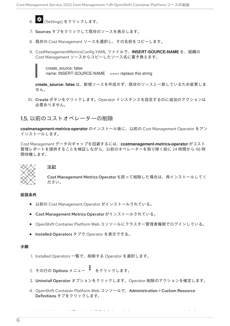- 6. (Settings) をクリックします。
- 7. Sources タブをクリックして既存のソースを表示します。
- 8. 既存の Cost Management ソースを選択し、その名前をコピーします。
- 9. CostManagementMetricsConfig YAML ファイルで、**INSERT-SOURCE-NAME** を、組織の Cost Management ソースからコピーしたソース名に置き換えます。

create\_source: false name: INSERT-SOURCE-NAME <<<< replace this string

create source: false は、新規ソースを作成せず、既存のソースと一致しているため変更しま せん。

- 10. Create ボタンをクリックします。Operator インスタンスを設定するのに追加のアクションは 必要ありません。
- <span id="page-9-0"></span>1.5. 以前のコストオペレーターの削除

**costmanagement-metrics-operator** のインストール後に、以前の Cost Management Operator をアン インストールします。

Cost Management データのギャップを回避するには、**costmanagement-metrics-operator** がコスト 管理レポートを提供することを検証しながら、以前のオペレーターを取り除く前に 24 時間から 48 時 間待機します。



## 注記

Cost Management Metrics Operatorを誤って削除した場合は、再インストールしてく ださい。

#### 前提条件

- 以前の Cost Management Operator がインストールされている。
- Cost Management Metrics Operator がインストールされている。
- OpenShift Container Platform Web コンソールにクラスター管理者権限でログインしている。
- Installed Operators タブで Operator を表示できる。

#### 手順

- 1. Installed Operators 一覧で、削除する Operator を選択します。
- 2. その行の Options メニュー をクリックします。
- 3. Uninstall Operator オプションをクリックします。Operator 削除のアクションを確定します。

5. カスタムリソース定義 (CRD) を表示するウィンドウで、CostManagement CRDおよび **cost-**

4. OpenShift Container Platform Web コンソールで、Administration > Custom Resource Definitions タブをクリックします。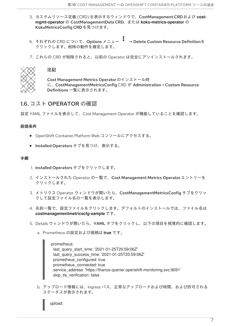- 5. カスタムリソース定義 (CRD) を表示するウィンドウで、CostManagement CRDおよび **costmgmt-operator** の CostManagementData CRD、または **koku-metrics-operator** の KokuMetricsConfig CRD を見つけます。
- 6. それぞれの CRD について、Options メニュー → Delete Custom Resource Definitionを クリックします。削除の動作を確定します。
- 7. これらの CRD が削除されると、以前の Operator は完全にアンインストールされます。



## 注記

Cost Management Metrics Operatorのインストール時 に、CostManagementMetricsConfig CRD が Administration > Custom Resource Definitions 一覧に表示されます。

## <span id="page-10-0"></span>1.6. コスト OPERATOR の確認

設定 YAML ファイルを表示して、Cost Management Operator が機能していることを確認します。

## 前提条件

- OpenShift Container Platform Web コンソールにアクセスする。
- Installed Operators タブを見つけ、表示する。

## 手順

- 1. Installed Operators タブをクリックします。
- 2. インストールされた Operator の一覧で、Cost Management Metrics Operatorエントリーを クリックします。
- 3. メトリクス Operator ウィンドウが開いたら、CostManagementMetricsConfig タブをクリッ クして設定ファイル名の一覧を表示します。
- 4. 名前一覧で、設定ファイルをクリックします。デフォルトのインストールでは、ファイル名は **costmanagementmetricscfg-sample** です。
- 5. Details ウィンドウが開いたら、YAML タブをクリックし、以下の項目を視覚的に確認します。
	- a. Prometheus の設定および接続は **true** です。

prometheus: last\_query\_start\_time: '2021-01-25T20:59:06Z' last\_query\_success\_time: '2021-01-25T20:59:06Z' prometheus\_configured: true prometheus\_connected: true service\_address: 'https://thanos-querier.openshift-monitoring.svc:9091' skip\_tls\_verification: false

b. アップロード情報には、Ingress パス、正常なアップロードおよび時間、および許可される ステータスが表示されます。

upload: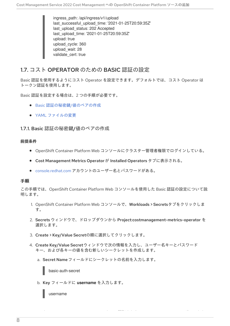ingress\_path: /api/ingress/v1/upload last\_successful\_upload\_time: '2021-01-25T20:59:35Z' last\_upload\_status: 202 Accepted last\_upload\_time: '2021-01-25T20:59:35Z' upload: true upload\_cycle: 360 upload\_wait: 28 validate\_cert: true

## <span id="page-11-0"></span>1.7. コスト OPERATOR のための BASIC 認証の設定

Basic 認証を使用するようにコスト Operator を設定できます。デフォルトでは、コスト Operator は トークン認証を使用します。

Basic 認証を設定する場合は、2 つの手順が必要です。

- Basic 認証の秘密鍵/[値のペアの作成](#page-11-1)
- YAML [ファイルの変更](#page-12-0)

<span id="page-11-1"></span>1.7.1. Basic 認証の秘密鍵/値のペアの作成

#### 前提条件

- OpenShift Container Platform Web コンソールにクラスター管理者権限でログインしている。
- Cost Management Metrics Operator が Installed Operators タブに表示される。
- [console.redhat.com](https://console.redhat.com) アカウントのユーザー名とパスワードがある。

## 手順

この手順では、OpenShift Container Platform Web コンソールを使用した Basic 認証の設定について説 明します。

- 1. OpenShift Container Platform Web コンソールで、Workloads > Secretsタブをクリックしま す。
- 2. Secrets ウィンドウで、ドロップダウンから Project:costmanagement-metrics-operator を 選択します。
- 3. Create > Key/Value Secretの順に選択してクリックします。
- 4. Create Key/Value Secretウィンドウで次の情報を入力し、ユーザー名キーとパスワード キー、および各キーの値を含む新しいシークレットを作成します。

c. キー **username** の Value フィールドに、認証された console.redhat.com ユーザーアカウン

a. Secret Nameフィールドにシークレットの名前を入力します。

basic-auth-secret

b. Key フィールドに **username** を入力します。

username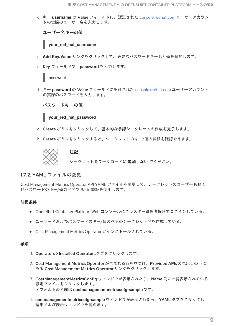c. キー **username** の Value フィールドに、認証された [console.redhat.com](https://console.redhat.com) ユーザーアカウン トの実際のユーザー名を入力します。

ユーザー名キーの値

**your\_red\_hat\_username**

- d. **Add Key/Value** リンクをクリックして、必要なパスワードキー名と値を追加します。
- e. Key フィールドで、**password** を入力します。

password

f. キー **password** の Value フィールドに認可された [console.redhat.com](https://console.redhat.com) ユーザーアカウント の実際のパスワードを入力します。

パスワードキーの値



- g. Create ボタンをクリックして、基本的な承認シークレットの作成を完了します。
- h. Create ボタンをクリックすると、シークレットのキー/値の詳細を確認できます。



注記 シークレットをワークロードに 追加しない でください。

## <span id="page-12-0"></span>1.7.2. YAML ファイルの変更

Cost Management Metrics Operator API YAML ファイルを変更して、シークレットのユーザー名およ びパスワードのキー/値のペアで Basic 認証を使用します。

## 前提条件

- OpenShift Container Platform Web コンソールにクラスター管理者権限でログインしている。
- ユーザー名およびパスワードのキー/値のペアのシークレット名を作成している。
- Cost Management Metrics Operator がインストールされている。

## 手順

- 1. Operators > Installed Operatorsタブをクリックします。
- 2. Cost Management Metrics Operatorが含まれる行を見つけ、Provided APIs の見出しの下に ある Cost Management Metrics Operatorリンクをクリックします。
- 3. CostManagementMetricsConfig ウィンドウが表示されたら、Name 列に一覧表示されている 設定ファイルをクリックします。 デフォルトの名前は **costmanagementmetricscfg-sample** です。
- 4. **costmanagementmetricscfg-sample** ウィンドウが表示されたら、YAML タブをクリックし、 編集および表示ウィンドウを開きます。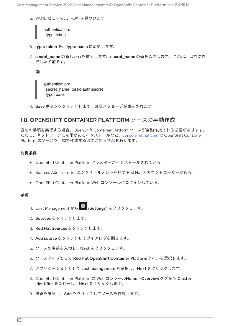5. YAML ビューで以下の行を見つけます。



- 6. **type: token** を、**type: basic** に変更します。
- 7. **secret\_name** の新しい行を挿入します。**secret\_name** の値を入力します。これは、以前に作 成した名前です。

例

authentication: secret\_name: basic-auth-secret type: basic

8. Save ボタンをクリックします。確認メッセージが表示されます。

## <span id="page-13-0"></span>1.8. OPENSHIFT CONTAINER PLATFORM ソースの手動作成

直前の手順を実行する場合、OpenShift Container Platform ソースが自動作成される必要があります。 ただし、ネットワークに制限があるインストールなど、[console.redhat.com](https://console.redhat.com) で OpenShift Container Platform のソースを手動で作成する必要がある状況もあります。

## 前提条件

- OpenShift Container Platform クラスターがインストールされている。
- Sources Administrator エンタイトルメントを持つ Red Hat アカウントユーザーがある。
- OpenShift Container Platform Web コンソールにログインしている。

## 手順

- 1. Cost Management から <sup>●</sup> (Settings) をクリックします。
- 2. Sources をクリックします。
- 3. Red Hat Sources をクリックします。
- 4. Add source をクリックしてダイアログを開きます。
- 5. ソースの名前を入力し、Next をクリックします。
- 6. ソースタイプとして Red Hat OpenShift Container Platformタイルを選択します。
- 7. アプリケーションとして cost management を選択し、Next をクリックします。
- 8. OpenShift Container Platform の Web コンソールHome > Overview タブから Cluster Identifier をコピーし、Next をクリックします。
- 9. 詳細を確認し、Add をクリックしてソースを作成します。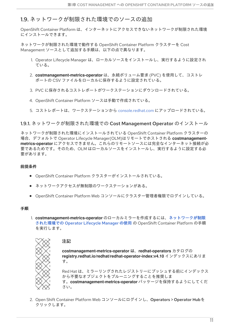## <span id="page-14-0"></span>1.9. ネットワークが制限された環境でのソースの追加

OpenShift Container Platform は、インターネットにアクセスできないネットワークが制限された環境 にインストールできます。

ネットワークが制限された環境で動作する OpenShift Container Platform クラスターを Cost Management ソースとして追加する手順は、以下の点で異なります。

- 1. Operator Lifecycle Manager は、ローカルソースをインストールし、実行するように設定され ている。
- 2. **costmanagement-metrics-operator** は、永続ボリューム要求 (PVC) を使用して、コストレ ポートの CSV ファイルをローカルに保存するように設定されている。
- 3. PVC に保存されるコストレポートがワークステーションにダウンロードされている。
- 4. OpenShift Container Platform ソースは手動で作成されている。
- 5. コストレポートは、ワークステーションから [console.redhat.com](https://console.redhat.com) にアップロードされている。

<span id="page-14-1"></span>1.9.1. ネットワークが制限された環境での Cost Management Operator のインストール

ネットワークが制限された環境にインストールされている OpenShift Container Platform クラスターの 場合、デフォルトで Operator Lifecycle Manager(OLM)はリモートでホストされる **costmanagementmetrics-operator** にアクセスできません。これらのリモートソースには完全なインターネット接続が必 要であるためです。そのため、OLM はローカルソースをインストールし、実行するように設定する必 要があります。

## 前提条件

- OpenShift Container Platform クラスターがインストールされている。
- ネットワークアクセスが無制限のワークステーションがある。
- OpenShift Container Platform Web コンソールにクラスター管理者権限でログインしている。

## 手順

1. **costmanagement-metrics-operator** [のローカルミラーを作成するには、ネットワークが制限](https://access.redhat.com/documentation/ja-jp/openshift_container_platform/4.10/html/operators/administrator-tasks#olm-restricted-networks) された環境での Operator Lifecycle Manager の使用 の OpenShift Container Platform の手順 を実行します。



## 注記

**costmanagement-metrics-operator** は、**redhat-operators** カタログの **registry.redhat.io/redhat/redhat-operator-index:v4.10** インデックスにありま す。

Red Hat は、ミラーリングされたレジストリーにプッシュする前にインデックス から不要なオブジェクトをプルーニングすることを推奨しま す。**costmanagement-metrics-operator** パッケージを保持するようにしてくだ さい。

2. Open Shift Container Platform Web コンソールにログインし、Operators > Operator Hubを クリックします。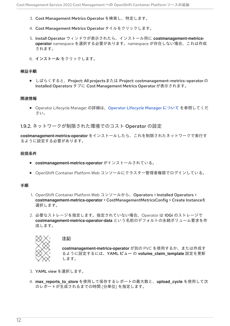- 3. Cost Management Metrics Operatorを検索し、特定します。
- 4. Cost Management Metrics Operatorタイルをクリックします。
- 5. Install Operator ウィンドウが表示されたら、インストール用に **costmanagement-metricsoperator** namespace を選択する必要があります。namespace が存在しない場合、これは作成 されます。
- 6. インストール をクリックします。

#### 検証手順

しばらくすると、Project: All projectsまたは Project: costmanagement-metrics-operatorの Installed Operators タブに Cost Management Metrics Operatorが表示されます。

#### 関連情報

● [Operator](https://access.redhat.com/documentation/ja-jp/openshift_container_platform/4.10/html/operators/understanding-operators#operator-lifecycle-manager-olm) Lifecycle Manager の詳細は、Operator Lifecycle Manager についてを参照してくだ さい。

<span id="page-15-0"></span>1.9.2. ネットワークが制限された環境でのコスト Operator の設定

**costmanagement-metrics-operator** をインストールしたら、これを制限されたネットワークで実行す るように設定する必要があります。

#### 前提条件

- **costmanagement-metrics-operator** がインストールされている。
- OpenShift Container Platform Web コンソールにクラスター管理者権限でログインしている。

#### 手順

- 1. OpenShift Container Platform Web コンソールから、Operators > Installed Operators > **costmanagement-metrics-operator** > CostManagementMetricsConfig > Create Instanceを 選択します。
- 2. 必要なストレージを指定します。指定されていない場合、Operator は 10Gi のストレージで **costmanagement-metrics-operator-data** という名前のデフォルトの永続ボリューム要求を作 成します。



#### 注記

**costmanagement-metrics-operator** が別の PVC を使用するか、または作成す るように設定するには、YAML ビュー の **volume\_claim\_template** 設定を更新 します。

- 3. YAML view を選択します。
- 4. **max\_reports\_to\_store** を使用して保存するレポートの最大数と、**upload\_cycle** を使用して次 のレポートが生成されるまでの時間 (分単位) を指定します。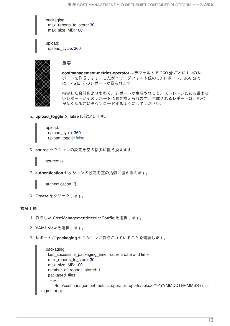packaging: max\_reports\_to\_store: 30 max\_size\_MB: 100

upload: upload\_cycle: 360



## 重要

costmanagement-metrics-operator はデフォルトで 360 分 ごとに1つのレ ポートを作成します。したがって、デフォルト値の 30 レポート、360 分で は、7.5 日 分のレポートが得られます。

指定した合計数よりも多く、レポートが生成されると、ストレージにある最も古 いレポートがそのレポートに置き換えられます。生成されるレポートは、PVC がなくなる前にダウンロードするようにしてください。

5. **upload\_toggle** を **false** に設定します。



6. **source** セクションの設定を空の括弧に置き換えます。

source: {}

7. **authentication** セクションの設定を空の括弧に置き換えます。



authentication: {}

8. Create をクリックします。

## 検証手順

- 1. 作成した CostManagementMetricsConfig を選択します。
- 2. YAML view を選択します。
- 3. レポートが **packaging** セクションに作成されていることを確認します。

```
packaging:
   last_successful_packaging_time: `current date and time`
   max_reports_to_store: 30
   max_size_MB: 100
   number of reports stored: 1
   packaged_files:
    - >/tmp/costmanagement-metrics-operator-reports/upload/YYYYMMDDTHHMMSS-cost-
mgmt.tar.gz
```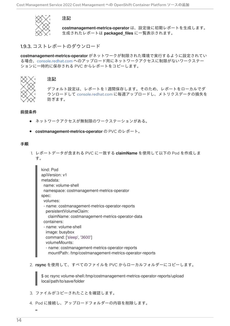

注記

**costmanagement-metrics-operator** は、設定後に初期レポートを生成します。 生成されたレポートは **packaged\_files** に一覧表示されます。

## <span id="page-17-0"></span>1.9.3. コストレポートのダウンロード

**costmanagement-metrics-operator** がネットワークが制限された環境で実行するように設定されてい る場合、[console.redhat.com](https://console.redhat.com) へのアップロード用にネットワークアクセスに制限がないワークステー ションに一時的に保存される PVC からレポートをコピーします。



## 注記

デフォルト設定は、レポートを 1 週間保存します。そのため、レポートをローカルでダ ウンロードして [console.redhat.com](https://console.redhat.com) に毎週アップロードし、メトリクスデータの損失を 防ぎます。

## 前提条件

- ネットワークアクセスが無制限のワークステーションがある。
- **costmanagement-metrics-operator** の PVC のレポート。

## 手順

1. レポートデータが含まれる PVC に一致する **claimName** を使用して以下の Pod を作成しま す。

| kind: Pod                                              |  |
|--------------------------------------------------------|--|
| apiVersion: v1                                         |  |
| metadata:                                              |  |
| name: volume-shell                                     |  |
| namespace: costmanagement-metrics-operator             |  |
| spec:                                                  |  |
| volumes:                                               |  |
| - name: costmanagement-metrics-operator-reports        |  |
| persistentVolumeClaim:                                 |  |
| claimName: costmanagement-metrics-operator-data        |  |
| containers:                                            |  |
| - name: volume-shell                                   |  |
| image: busybox                                         |  |
| command: ['sleep', '3600']                             |  |
| volumeMounts:                                          |  |
| - name: costmanagement-metrics-operator-reports        |  |
| mountPath:/tmp/costmanagement-metrics-operator-reports |  |
|                                                        |  |
| ______________________                                 |  |

2. **rsync** を使用して、すべてのファイルを PVC からローカルフォルダーにコピーします。

\$ oc rsync volume-shell:/tmp/costmanagement-metrics-operator-reports/upload local/path/to/save/folder

- 3. ファイルがコピーされたことを確認します。
- 4. Pod に接続し、アップロードフォルダーの内容を削除します。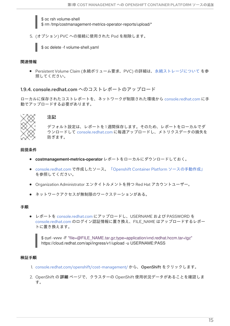\$ oc rsh volume-shell \$ rm /tmp/costmanagement-metrics-operator-reports/upload/\*

- 5. (オプション) PVC への接続に使用された Pod を削除します。
	- \$ oc delete -f volume-shell.yaml

## 関連情報

● Persistent Volume Claim (永続ボリューム要求、PVC) の詳細は、[永続ストレージについて](https://access.redhat.com/documentation/ja-jp/openshift_container_platform/4.10/html/storage/understanding-persistent-storage) を参 照してください。

<span id="page-18-0"></span>1.9.4. console.redhat.com へのコストレポートのアップロード

ローカルに保存されたコストレポートを、ネットワークが制限された環境から [console.redhat.com](https://console.redhat.com) に手 動でアップロードする必要があります。



## 注記

デフォルト設定は、レポートを 1 週間保存します。そのため、レポートをローカルでダ ウンロードして [console.redhat.com](https://console.redhat.com) に毎週アップロードし、メトリクスデータの損失を 防ぎます。

## 前提条件

- **costmanagement-metrics-operator** レポートをローカルにダウンロードしておく。
- [console.redhat.com](https://console.redhat.com) で作成したソース。「Openshift Container Platform [ソースの手動作成」](#page-13-0) を参照してください。
- Organization Administrator エンタイトルメントを持つ Red Hat アカウントユーザー。
- ネットワークアクセスが無制限のワークステーションがある。

## 手順

レポートを [console.redhat.com](https://console.redhat.com) にアップロードし、USERNAME および PASSWORD を [console.redhat.com](https://console.redhat.com) のログイン認証情報に置き換え、FILE\_NAME はアップロードするレポー トに置き換えます。

\$ curl -vvvv -F "file=@FILE\_NAME.tar.gz;type=application/vnd.redhat.hccm.tar+tgz" https://cloud.redhat.com/api/ingress/v1/upload -u USERNAME:PASS

## 検証手順

- 1. [console.redhat.com/openshift/cost-management/](https://console.redhat.com/openshift/cost-management/)から、OpenShift をクリックします。
- 2. OpenShift の 詳細 ページで、クラスターの OpenShift 使用状況データがあることを確認しま す。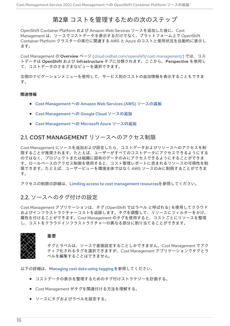## 第2章 コストを管理するための次のステップ

<span id="page-19-0"></span>OpenShift Container Platform および Amazon Web Services ソースを追加した後に、Cost Management は、ソースでコストデータを表示するだけでなく、プラットフォーム上で OpenShift Container Platform クラスターの実行に関連する AWS と Azure のコストと使用状況を自動的に表示し ます。

Cost Management の Overview ページ ([cloud.redhat.com/openshift/cost-management/\)](https://console.redhat.com/openshift/cost-management/) では、コス トデータは OpenShift および Infrastructure タブに分類されます。ここから、Perspective を使用し て、コストデータのさまざまなビューを選択できます。

左側のナビゲーションメニューを使用して、サービス別のコストの追加情報を表示することもできま す。

#### 関連情報

- Cost [Management](https://access.redhat.com/documentation/ja-jp/cost_management_service/2022/html-single/adding_an_amazon_web_services_aws_source_to_cost_management/index) への Amazon Web Services (AWS) ソースの追加
- Cost [Management](https://access.redhat.com/documentation/ja-jp/cost_management_service/2022/html-single/adding_a_google_cloud_source_to_cost_management/index) への Google Cloud ソースの追加
- Cost [Management](https://access.redhat.com/documentation/ja-jp/cost_management_service/2022/html-single/adding_a_microsoft_azure_source_to_cost_management/index) への Microsoft Azure ソースの追加

## <span id="page-19-1"></span>2.1. COST MANAGEMENT リソースへのアクセス制限

Cost Management にソースを追加および設定したら、コストデータおよびリソースへのアクセスを制 限することが推奨されます。たとえば、ユーザーがすべてのコストデータにアクセスできるようにする のではなく、プロジェクトまたは組織に固有のデータのみにアクセスできるようにすることができま す。ロールベースのアクセス制御を使用すると、コスト管理レポートに含まれるリソースの可視性を制 限できます。たとえば、ユーザービューを環境全体ではなく AWS ソースのみに制限することができま す。

アクセスの制限の詳細は、Limiting access to cost [management](https://access.redhat.com/documentation/ja-jp/cost_management_service/2022/html-single/limiting_access_to_cost_management_resources/index) resourcesを参照してください。

## <span id="page-19-2"></span>2.2. ソースへのタグ付けの設定

Cost Management アプリケーションは、タグ (OpenShift ではラベル と呼ばれる) を使用してクラウド およびインフラストラクチャーコストを追跡します。タグを調整して、リソースにフィルターをかけ、 属性を付けることができます。Cost Management のタグを使用すると、コストごとにリソースを整理 し、コストをクラウドインフラストラクチャーの異なる部分に割り当てることができます。



#### 重要

タグとラベルは、ソースで直接設定することしかできません。Cost Management でアク ティブ化されるタグを選択できますが、Cost Management アプリケーションでタグとラ ベルを編集することはできません。

以下の詳細は、[Managing](https://access.redhat.com/documentation/ja-jp/cost_management_service/2022/html-single/managing_cost_data_using_tagging/index) cost data using taggingを参照してください。

- コストデータの表示を整理するためのタグ付けストラテジーを計画する。
- Cost Management がタグを関連付ける方法を理解する。
- ソースにタグおよびラベルを設定する。